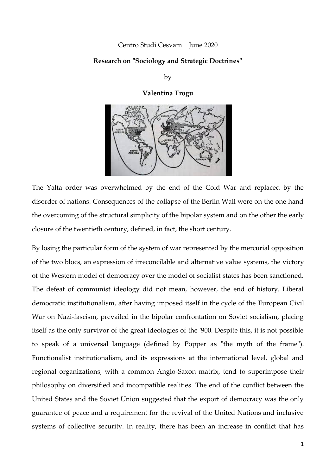### [Centro Studi Cesvam](http://www.istitutodelnastroazzurro.org/author/centro_studi_cesvam/) June 2020

# **Research on "Sociology and Strategic Doctrines"**

by

**Valentina Trogu**



The Yalta order was overwhelmed by the end of the Cold War and replaced by the disorder of nations. Consequences of the collapse of the Berlin Wall were on the one hand the overcoming of the structural simplicity of the bipolar system and on the other the early closure of the twentieth century, defined, in fact, the short century.

By losing the particular form of the system of war represented by the mercurial opposition of the two blocs, an expression of irreconcilable and alternative value systems, the victory of the Western model of democracy over the model of socialist states has been sanctioned. The defeat of communist ideology did not mean, however, the end of history. Liberal democratic institutionalism, after having imposed itself in the cycle of the European Civil War on Nazi-fascism, prevailed in the bipolar confrontation on Soviet socialism, placing itself as the only survivor of the great ideologies of the '900. Despite this, it is not possible to speak of a universal language (defined by Popper as "the myth of the frame"). Functionalist institutionalism, and its expressions at the international level, global and regional organizations, with a common Anglo-Saxon matrix, tend to superimpose their philosophy on diversified and incompatible realities. The end of the conflict between the United States and the Soviet Union suggested that the export of democracy was the only guarantee of peace and a requirement for the revival of the United Nations and inclusive systems of collective security. In reality, there has been an increase in conflict that has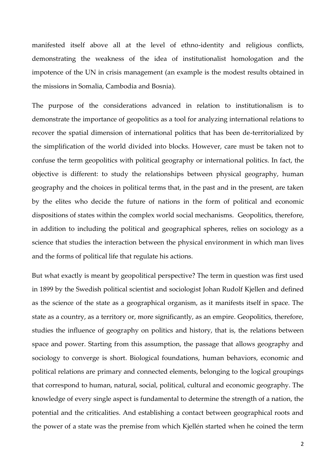manifested itself above all at the level of ethno-identity and religious conflicts, demonstrating the weakness of the idea of institutionalist homologation and the impotence of the UN in crisis management (an example is the modest results obtained in the missions in Somalia, Cambodia and Bosnia).

The purpose of the considerations advanced in relation to institutionalism is to demonstrate the importance of geopolitics as a tool for analyzing international relations to recover the spatial dimension of international politics that has been de-territorialized by the simplification of the world divided into blocks. However, care must be taken not to confuse the term geopolitics with political geography or international politics. In fact, the objective is different: to study the relationships between physical geography, human geography and the choices in political terms that, in the past and in the present, are taken by the elites who decide the future of nations in the form of political and economic dispositions of states within the complex world social mechanisms. Geopolitics, therefore, in addition to including the political and geographical spheres, relies on sociology as a science that studies the interaction between the physical environment in which man lives and the forms of political life that regulate his actions.

But what exactly is meant by geopolitical perspective? The term in question was first used in 1899 by the Swedish political scientist and sociologist Johan Rudolf Kjellen and defined as the science of the state as a geographical organism, as it manifests itself in space. The state as a country, as a territory or, more significantly, as an empire. Geopolitics, therefore, studies the influence of geography on politics and history, that is, the relations between space and power. Starting from this assumption, the passage that allows geography and sociology to converge is short. Biological foundations, human behaviors, economic and political relations are primary and connected elements, belonging to the logical groupings that correspond to human, natural, social, political, cultural and economic geography. The knowledge of every single aspect is fundamental to determine the strength of a nation, the potential and the criticalities. And establishing a contact between geographical roots and the power of a state was the premise from which Kjellén started when he coined the term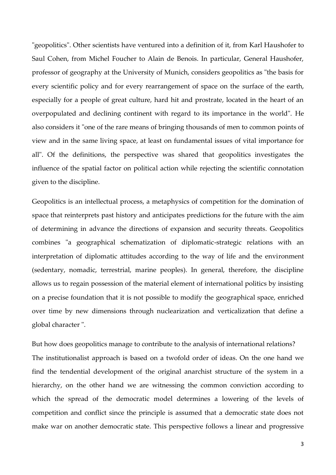"geopolitics". Other scientists have ventured into a definition of it, from Karl Haushofer to Saul Cohen, from Michel Foucher to Alain de Benois. In particular, General Haushofer, professor of geography at the University of Munich, considers geopolitics as "the basis for every scientific policy and for every rearrangement of space on the surface of the earth, especially for a people of great culture, hard hit and prostrate, located in the heart of an overpopulated and declining continent with regard to its importance in the world". He also considers it "one of the rare means of bringing thousands of men to common points of view and in the same living space, at least on fundamental issues of vital importance for all". Of the definitions, the perspective was shared that geopolitics investigates the influence of the spatial factor on political action while rejecting the scientific connotation given to the discipline.

Geopolitics is an intellectual process, a metaphysics of competition for the domination of space that reinterprets past history and anticipates predictions for the future with the aim of determining in advance the directions of expansion and security threats. Geopolitics combines "a geographical schematization of diplomatic-strategic relations with an interpretation of diplomatic attitudes according to the way of life and the environment (sedentary, nomadic, terrestrial, marine peoples). In general, therefore, the discipline allows us to regain possession of the material element of international politics by insisting on a precise foundation that it is not possible to modify the geographical space, enriched over time by new dimensions through nuclearization and verticalization that define a global character ".

But how does geopolitics manage to contribute to the analysis of international relations? The institutionalist approach is based on a twofold order of ideas. On the one hand we find the tendential development of the original anarchist structure of the system in a hierarchy, on the other hand we are witnessing the common conviction according to which the spread of the democratic model determines a lowering of the levels of competition and conflict since the principle is assumed that a democratic state does not make war on another democratic state. This perspective follows a linear and progressive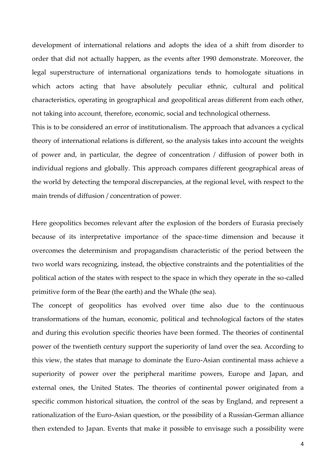development of international relations and adopts the idea of a shift from disorder to order that did not actually happen, as the events after 1990 demonstrate. Moreover, the legal superstructure of international organizations tends to homologate situations in which actors acting that have absolutely peculiar ethnic, cultural and political characteristics, operating in geographical and geopolitical areas different from each other, not taking into account, therefore, economic, social and technological otherness.

This is to be considered an error of institutionalism. The approach that advances a cyclical theory of international relations is different, so the analysis takes into account the weights of power and, in particular, the degree of concentration / diffusion of power both in individual regions and globally. This approach compares different geographical areas of the world by detecting the temporal discrepancies, at the regional level, with respect to the main trends of diffusion / concentration of power.

Here geopolitics becomes relevant after the explosion of the borders of Eurasia precisely because of its interpretative importance of the space-time dimension and because it overcomes the determinism and propagandism characteristic of the period between the two world wars recognizing, instead, the objective constraints and the potentialities of the political action of the states with respect to the space in which they operate in the so-called primitive form of the Bear (the earth) and the Whale (the sea).

The concept of geopolitics has evolved over time also due to the continuous transformations of the human, economic, political and technological factors of the states and during this evolution specific theories have been formed. The theories of continental power of the twentieth century support the superiority of land over the sea. According to this view, the states that manage to dominate the Euro-Asian continental mass achieve a superiority of power over the peripheral maritime powers, Europe and Japan, and external ones, the United States. The theories of continental power originated from a specific common historical situation, the control of the seas by England, and represent a rationalization of the Euro-Asian question, or the possibility of a Russian-German alliance then extended to Japan. Events that make it possible to envisage such a possibility were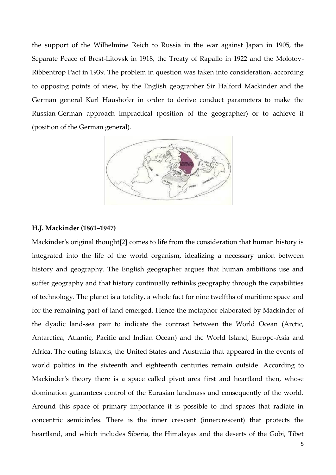the support of the Wilhelmine Reich to Russia in the war against Japan in 1905, the Separate Peace of Brest-Litovsk in 1918, the Treaty of Rapallo in 1922 and the Molotov-Ribbentrop Pact in 1939. The problem in question was taken into consideration, according to opposing points of view, by the English geographer Sir Halford Mackinder and the German general Karl Haushofer in order to derive conduct parameters to make the Russian-German approach impractical (position of the geographer) or to achieve it (position of the German general).



#### **H.J. Mackinder (1861–1947)**

Mackinder's original thought[2] comes to life from the consideration that human history is integrated into the life of the world organism, idealizing a necessary union between history and geography. The English geographer argues that human ambitions use and suffer geography and that history continually rethinks geography through the capabilities of technology. The planet is a totality, a whole fact for nine twelfths of maritime space and for the remaining part of land emerged. Hence the metaphor elaborated by Mackinder of the dyadic land-sea pair to indicate the contrast between the World Ocean (Arctic, Antarctica, Atlantic, Pacific and Indian Ocean) and the World Island, Europe-Asia and Africa. The outing Islands, the United States and Australia that appeared in the events of world politics in the sixteenth and eighteenth centuries remain outside. According to Mackinder's theory there is a space called pivot area first and heartland then, whose domination guarantees control of the Eurasian landmass and consequently of the world. Around this space of primary importance it is possible to find spaces that radiate in concentric semicircles. There is the inner crescent (innercrescent) that protects the heartland, and which includes Siberia, the Himalayas and the deserts of the Gobi, Tibet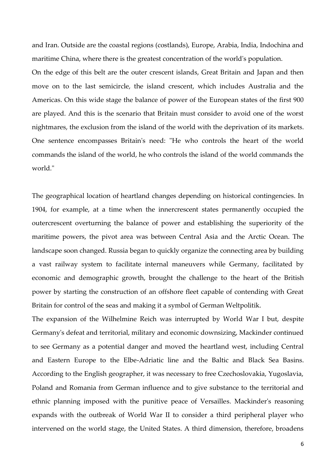and Iran. Outside are the coastal regions (costlands), Europe, Arabia, India, Indochina and maritime China, where there is the greatest concentration of the world's population.

On the edge of this belt are the outer crescent islands, Great Britain and Japan and then move on to the last semicircle, the island crescent, which includes Australia and the Americas. On this wide stage the balance of power of the European states of the first 900 are played. And this is the scenario that Britain must consider to avoid one of the worst nightmares, the exclusion from the island of the world with the deprivation of its markets. One sentence encompasses Britain's need: "He who controls the heart of the world commands the island of the world, he who controls the island of the world commands the world."

The geographical location of heartland changes depending on historical contingencies. In 1904, for example, at a time when the innercrescent states permanently occupied the outercrescent overturning the balance of power and establishing the superiority of the maritime powers, the pivot area was between Central Asia and the Arctic Ocean. The landscape soon changed. Russia began to quickly organize the connecting area by building a vast railway system to facilitate internal maneuvers while Germany, facilitated by economic and demographic growth, brought the challenge to the heart of the British power by starting the construction of an offshore fleet capable of contending with Great Britain for control of the seas and making it a symbol of German Weltpolitik.

The expansion of the Wilhelmine Reich was interrupted by World War I but, despite Germany's defeat and territorial, military and economic downsizing, Mackinder continued to see Germany as a potential danger and moved the heartland west, including Central and Eastern Europe to the Elbe-Adriatic line and the Baltic and Black Sea Basins. According to the English geographer, it was necessary to free Czechoslovakia, Yugoslavia, Poland and Romania from German influence and to give substance to the territorial and ethnic planning imposed with the punitive peace of Versailles. Mackinder's reasoning expands with the outbreak of World War II to consider a third peripheral player who intervened on the world stage, the United States. A third dimension, therefore, broadens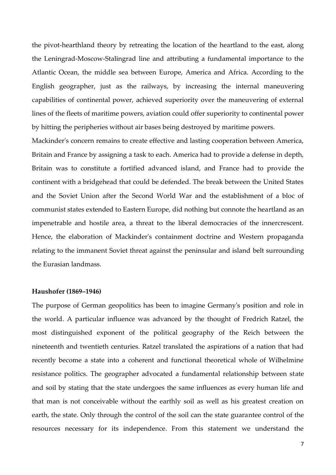the pivot-hearthland theory by retreating the location of the heartland to the east, along the Leningrad-Moscow-Stalingrad line and attributing a fundamental importance to the Atlantic Ocean, the middle sea between Europe, America and Africa. According to the English geographer, just as the railways, by increasing the internal maneuvering capabilities of continental power, achieved superiority over the maneuvering of external lines of the fleets of maritime powers, aviation could offer superiority to continental power by hitting the peripheries without air bases being destroyed by maritime powers.

Mackinder's concern remains to create effective and lasting cooperation between America, Britain and France by assigning a task to each. America had to provide a defense in depth, Britain was to constitute a fortified advanced island, and France had to provide the continent with a bridgehead that could be defended. The break between the United States and the Soviet Union after the Second World War and the establishment of a bloc of communist states extended to Eastern Europe, did nothing but connote the heartland as an impenetrable and hostile area, a threat to the liberal democracies of the innercrescent. Hence, the elaboration of Mackinder's containment doctrine and Western propaganda relating to the immanent Soviet threat against the peninsular and island belt surrounding the Eurasian landmass.

# **Haushofer (1869–1946)**

The purpose of German geopolitics has been to imagine Germany's position and role in the world. A particular influence was advanced by the thought of Fredrich Ratzel, the most distinguished exponent of the political geography of the Reich between the nineteenth and twentieth centuries. Ratzel translated the aspirations of a nation that had recently become a state into a coherent and functional theoretical whole of Wilhelmine resistance politics. The geographer advocated a fundamental relationship between state and soil by stating that the state undergoes the same influences as every human life and that man is not conceivable without the earthly soil as well as his greatest creation on earth, the state. Only through the control of the soil can the state guarantee control of the resources necessary for its independence. From this statement we understand the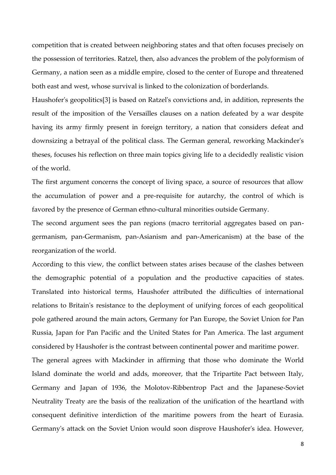competition that is created between neighboring states and that often focuses precisely on the possession of territories. Ratzel, then, also advances the problem of the polyformism of Germany, a nation seen as a middle empire, closed to the center of Europe and threatened both east and west, whose survival is linked to the colonization of borderlands.

Haushofer's geopolitics[3] is based on Ratzel's convictions and, in addition, represents the result of the imposition of the Versailles clauses on a nation defeated by a war despite having its army firmly present in foreign territory, a nation that considers defeat and downsizing a betrayal of the political class. The German general, reworking Mackinder's theses, focuses his reflection on three main topics giving life to a decidedly realistic vision of the world.

The first argument concerns the concept of living space, a source of resources that allow the accumulation of power and a pre-requisite for autarchy, the control of which is favored by the presence of German ethno-cultural minorities outside Germany.

The second argument sees the pan regions (macro territorial aggregates based on pangermanism, pan-Germanism, pan-Asianism and pan-Americanism) at the base of the reorganization of the world.

According to this view, the conflict between states arises because of the clashes between the demographic potential of a population and the productive capacities of states. Translated into historical terms, Haushofer attributed the difficulties of international relations to Britain's resistance to the deployment of unifying forces of each geopolitical pole gathered around the main actors, Germany for Pan Europe, the Soviet Union for Pan Russia, Japan for Pan Pacific and the United States for Pan America. The last argument considered by Haushofer is the contrast between continental power and maritime power.

The general agrees with Mackinder in affirming that those who dominate the World Island dominate the world and adds, moreover, that the Tripartite Pact between Italy, Germany and Japan of 1936, the Molotov-Ribbentrop Pact and the Japanese-Soviet Neutrality Treaty are the basis of the realization of the unification of the heartland with consequent definitive interdiction of the maritime powers from the heart of Eurasia. Germany's attack on the Soviet Union would soon disprove Haushofer's idea. However,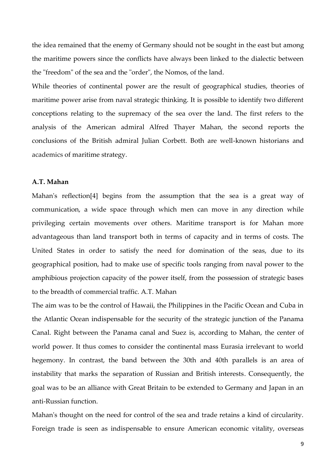the idea remained that the enemy of Germany should not be sought in the east but among the maritime powers since the conflicts have always been linked to the dialectic between the "freedom" of the sea and the "order", the Nomos, of the land.

While theories of continental power are the result of geographical studies, theories of maritime power arise from naval strategic thinking. It is possible to identify two different conceptions relating to the supremacy of the sea over the land. The first refers to the analysis of the American admiral Alfred Thayer Mahan, the second reports the conclusions of the British admiral Julian Corbett. Both are well-known historians and academics of maritime strategy.

# **A.T. Mahan**

Mahan's reflection[4] begins from the assumption that the sea is a great way of communication, a wide space through which men can move in any direction while privileging certain movements over others. Maritime transport is for Mahan more advantageous than land transport both in terms of capacity and in terms of costs. The United States in order to satisfy the need for domination of the seas, due to its geographical position, had to make use of specific tools ranging from naval power to the amphibious projection capacity of the power itself, from the possession of strategic bases to the breadth of commercial traffic. A.T. Mahan

The aim was to be the control of Hawaii, the Philippines in the Pacific Ocean and Cuba in the Atlantic Ocean indispensable for the security of the strategic junction of the Panama Canal. Right between the Panama canal and Suez is, according to Mahan, the center of world power. It thus comes to consider the continental mass Eurasia irrelevant to world hegemony. In contrast, the band between the 30th and 40th parallels is an area of instability that marks the separation of Russian and British interests. Consequently, the goal was to be an alliance with Great Britain to be extended to Germany and Japan in an anti-Russian function.

Mahan's thought on the need for control of the sea and trade retains a kind of circularity. Foreign trade is seen as indispensable to ensure American economic vitality, overseas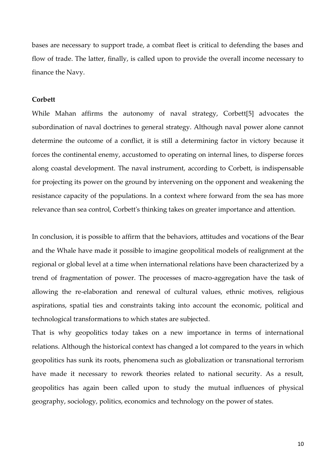bases are necessary to support trade, a combat fleet is critical to defending the bases and flow of trade. The latter, finally, is called upon to provide the overall income necessary to finance the Navy.

#### **Corbett**

While Mahan affirms the autonomy of naval strategy, Corbett[5] advocates the subordination of naval doctrines to general strategy. Although naval power alone cannot determine the outcome of a conflict, it is still a determining factor in victory because it forces the continental enemy, accustomed to operating on internal lines, to disperse forces along coastal development. The naval instrument, according to Corbett, is indispensable for projecting its power on the ground by intervening on the opponent and weakening the resistance capacity of the populations. In a context where forward from the sea has more relevance than sea control, Corbett's thinking takes on greater importance and attention.

In conclusion, it is possible to affirm that the behaviors, attitudes and vocations of the Bear and the Whale have made it possible to imagine geopolitical models of realignment at the regional or global level at a time when international relations have been characterized by a trend of fragmentation of power. The processes of macro-aggregation have the task of allowing the re-elaboration and renewal of cultural values, ethnic motives, religious aspirations, spatial ties and constraints taking into account the economic, political and technological transformations to which states are subjected.

That is why geopolitics today takes on a new importance in terms of international relations. Although the historical context has changed a lot compared to the years in which geopolitics has sunk its roots, phenomena such as globalization or transnational terrorism have made it necessary to rework theories related to national security. As a result, geopolitics has again been called upon to study the mutual influences of physical geography, sociology, politics, economics and technology on the power of states.